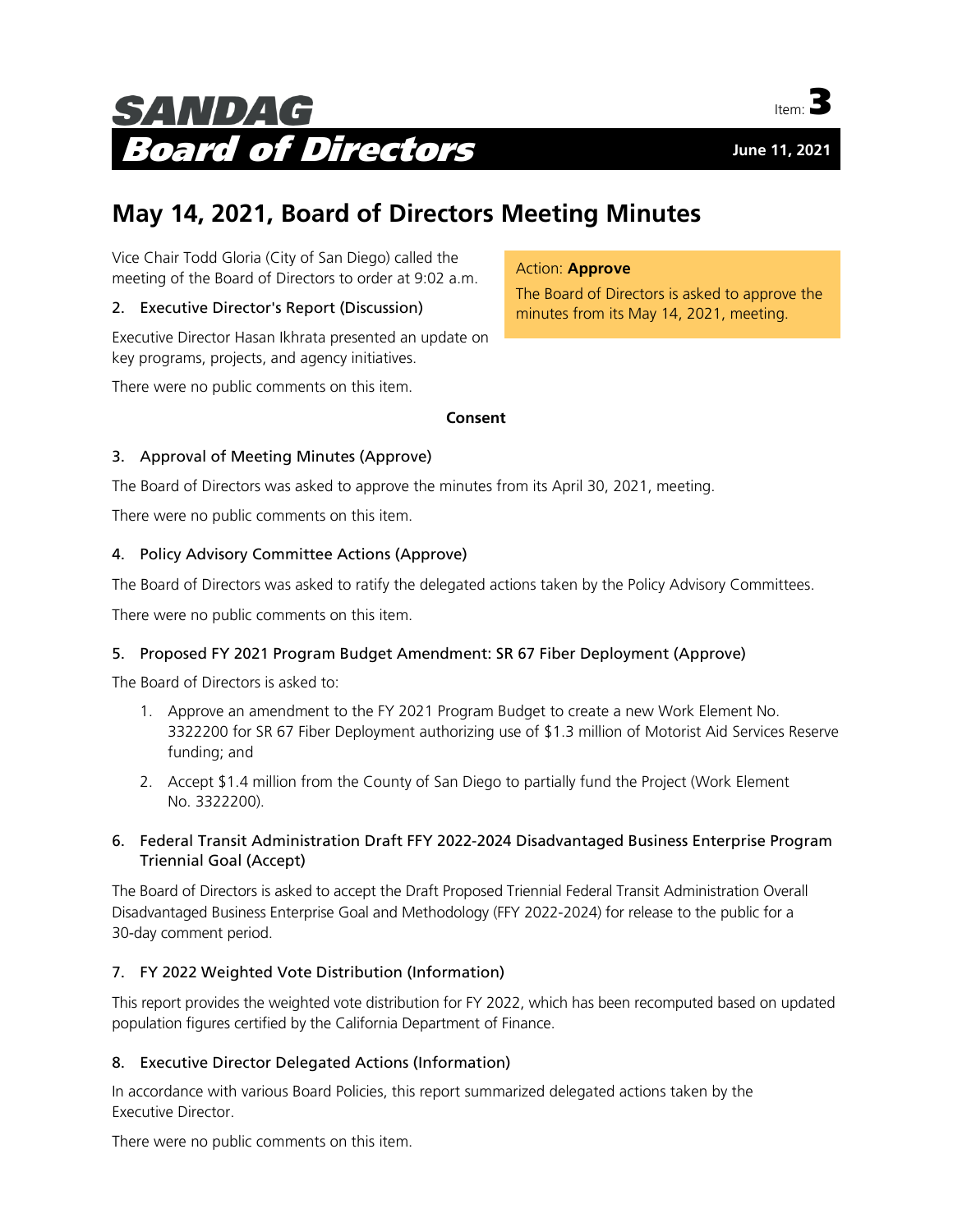



# **May 14, 2021, Board of Directors Meeting Minutes**

Vice Chair Todd Gloria (City of San Diego) called the meeting of the Board of Directors to order at 9:02 a.m.

# 2. Executive Director's Report (Discussion)

Executive Director Hasan Ikhrata presented an update on key programs, projects, and agency initiatives.

There were no public comments on this item.

#### **Consent**

# 3. Approval of Meeting Minutes (Approve)

The Board of Directors was asked to approve the minutes from its April 30, 2021, meeting.

There were no public comments on this item.

# 4. Policy Advisory Committee Actions (Approve)

The Board of Directors was asked to ratify the delegated actions taken by the Policy Advisory Committees.

There were no public comments on this item.

#### 5. Proposed FY 2021 Program Budget Amendment: SR 67 Fiber Deployment (Approve)

The Board of Directors is asked to:

- 1. Approve an amendment to the FY 2021 Program Budget to create a new Work Element No. 3322200 for SR 67 Fiber Deployment authorizing use of \$1.3 million of Motorist Aid Services Reserve funding; and
- 2. Accept \$1.4 million from the County of San Diego to partially fund the Project (Work Element No. 3322200).

# 6. Federal Transit Administration Draft FFY 2022-2024 Disadvantaged Business Enterprise Program Triennial Goal (Accept)

The Board of Directors is asked to accept the Draft Proposed Triennial Federal Transit Administration Overall Disadvantaged Business Enterprise Goal and Methodology (FFY 2022-2024) for release to the public for a 30-day comment period.

#### 7. FY 2022 Weighted Vote Distribution (Information)

This report provides the weighted vote distribution for FY 2022, which has been recomputed based on updated population figures certified by the California Department of Finance.

#### 8. Executive Director Delegated Actions (Information)

In accordance with various Board Policies, this report summarized delegated actions taken by the Executive Director.

There were no public comments on this item.

# Action: **Approve**

The Board of Directors is asked to approve the minutes from its May 14, 2021, meeting.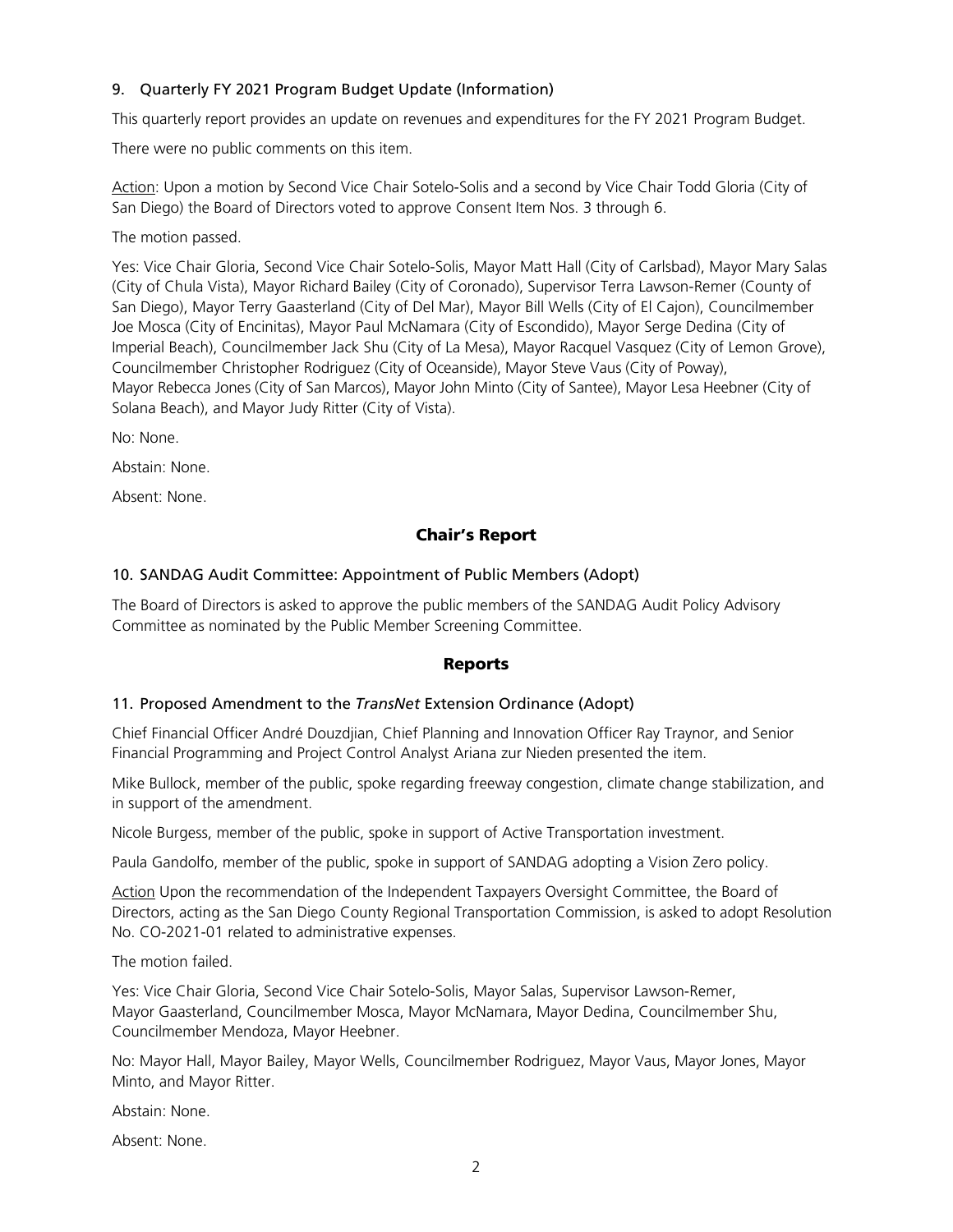# 9. Quarterly FY 2021 Program Budget Update (Information)

This quarterly report provides an update on revenues and expenditures for the FY 2021 Program Budget.

There were no public comments on this item.

Action: Upon a motion by Second Vice Chair Sotelo-Solis and a second by Vice Chair Todd Gloria (City of San Diego) the Board of Directors voted to approve Consent Item Nos. 3 through 6.

The motion passed.

Yes: Vice Chair Gloria, Second Vice Chair Sotelo-Solis, Mayor Matt Hall (City of Carlsbad), Mayor Mary Salas (City of Chula Vista), Mayor Richard Bailey (City of Coronado), Supervisor Terra Lawson-Remer (County of San Diego), Mayor Terry Gaasterland (City of Del Mar), Mayor Bill Wells (City of El Cajon), Councilmember Joe Mosca (City of Encinitas), Mayor Paul McNamara (City of Escondido), Mayor Serge Dedina (City of Imperial Beach), Councilmember Jack Shu (City of La Mesa), Mayor Racquel Vasquez (City of Lemon Grove), Councilmember Christopher Rodriguez (City of Oceanside), Mayor Steve Vaus (City of Poway), Mayor Rebecca Jones (City of San Marcos), Mayor John Minto (City of Santee), Mayor Lesa Heebner (City of Solana Beach), and Mayor Judy Ritter (City of Vista).

No: None.

Abstain: None.

Absent: None.

# Chair's Report

#### 10. SANDAG Audit Committee: Appointment of Public Members (Adopt)

The Board of Directors is asked to approve the public members of the SANDAG Audit Policy Advisory Committee as nominated by the Public Member Screening Committee.

#### Reports

#### 11. Proposed Amendment to the *TransNet* Extension Ordinance (Adopt)

Chief Financial Officer André Douzdjian, Chief Planning and Innovation Officer Ray Traynor, and Senior Financial Programming and Project Control Analyst Ariana zur Nieden presented the item.

Mike Bullock, member of the public, spoke regarding freeway congestion, climate change stabilization, and in support of the amendment.

Nicole Burgess, member of the public, spoke in support of Active Transportation investment.

Paula Gandolfo, member of the public, spoke in support of SANDAG adopting a Vision Zero policy.

Action Upon the recommendation of the Independent Taxpayers Oversight Committee, the Board of Directors, acting as the San Diego County Regional Transportation Commission, is asked to adopt Resolution No. CO-2021-01 related to administrative expenses.

The motion failed.

Yes: Vice Chair Gloria, Second Vice Chair Sotelo-Solis, Mayor Salas, Supervisor Lawson-Remer, Mayor Gaasterland, Councilmember Mosca, Mayor McNamara, Mayor Dedina, Councilmember Shu, Councilmember Mendoza, Mayor Heebner.

No: Mayor Hall, Mayor Bailey, Mayor Wells, Councilmember Rodriguez, Mayor Vaus, Mayor Jones, Mayor Minto, and Mayor Ritter.

Abstain: None.

Absent: None.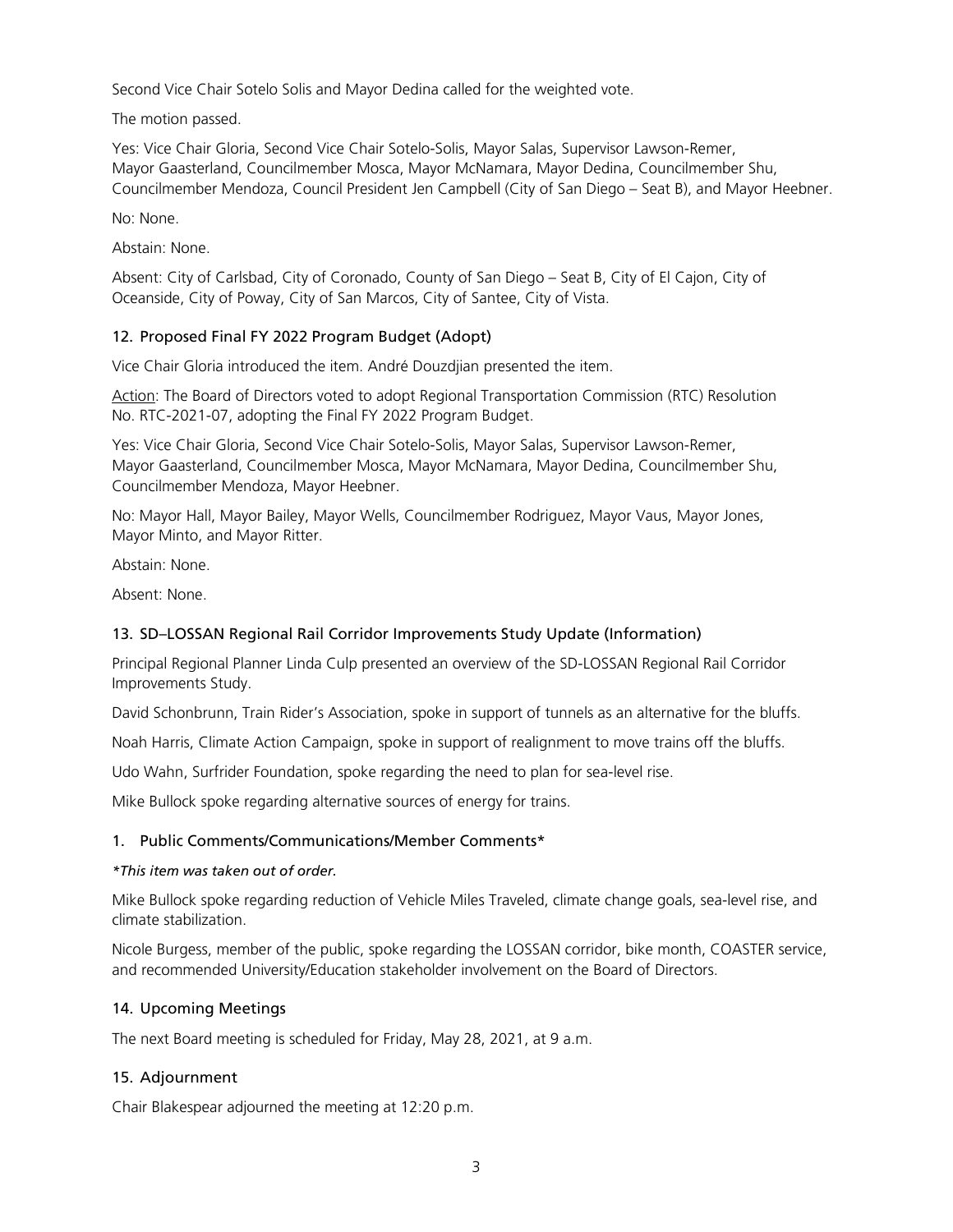Second Vice Chair Sotelo Solis and Mayor Dedina called for the weighted vote.

The motion passed.

Yes: Vice Chair Gloria, Second Vice Chair Sotelo-Solis, Mayor Salas, Supervisor Lawson-Remer, Mayor Gaasterland, Councilmember Mosca, Mayor McNamara, Mayor Dedina, Councilmember Shu, Councilmember Mendoza, Council President Jen Campbell (City of San Diego – Seat B), and Mayor Heebner.

No: None.

Abstain: None.

Absent: City of Carlsbad, City of Coronado, County of San Diego – Seat B, City of El Cajon, City of Oceanside, City of Poway, City of San Marcos, City of Santee, City of Vista.

# 12. Proposed Final FY 2022 Program Budget (Adopt)

Vice Chair Gloria introduced the item. André Douzdjian presented the item.

Action: The Board of Directors voted to adopt Regional Transportation Commission (RTC) Resolution No. RTC-2021-07, adopting the Final FY 2022 Program Budget.

Yes: Vice Chair Gloria, Second Vice Chair Sotelo-Solis, Mayor Salas, Supervisor Lawson-Remer, Mayor Gaasterland, Councilmember Mosca, Mayor McNamara, Mayor Dedina, Councilmember Shu, Councilmember Mendoza, Mayor Heebner.

No: Mayor Hall, Mayor Bailey, Mayor Wells, Councilmember Rodriguez, Mayor Vaus, Mayor Jones, Mayor Minto, and Mayor Ritter.

Abstain: None.

Absent: None.

#### 13. SD–LOSSAN Regional Rail Corridor Improvements Study Update (Information)

Principal Regional Planner Linda Culp presented an overview of the SD-LOSSAN Regional Rail Corridor Improvements Study.

David Schonbrunn, Train Rider's Association, spoke in support of tunnels as an alternative for the bluffs.

Noah Harris, Climate Action Campaign, spoke in support of realignment to move trains off the bluffs.

Udo Wahn, Surfrider Foundation, spoke regarding the need to plan for sea-level rise.

Mike Bullock spoke regarding alternative sources of energy for trains.

#### 1. Public Comments/Communications/Member Comments\*

#### *\*This item was taken out of order.*

Mike Bullock spoke regarding reduction of Vehicle Miles Traveled, climate change goals, sea-level rise, and climate stabilization.

Nicole Burgess, member of the public, spoke regarding the LOSSAN corridor, bike month, COASTER service, and recommended University/Education stakeholder involvement on the Board of Directors.

#### 14. Upcoming Meetings

The next Board meeting is scheduled for Friday, May 28, 2021, at 9 a.m.

#### 15. Adjournment

Chair Blakespear adjourned the meeting at 12:20 p.m.